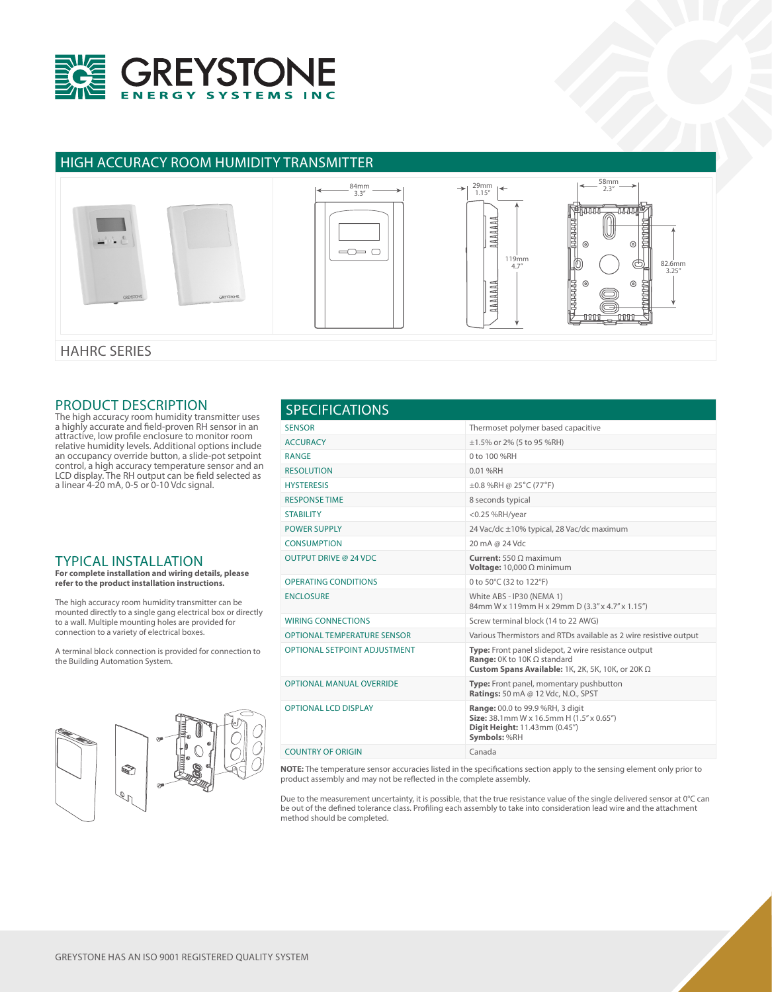

## HIGH ACCURACY ROOM HUMIDITY TRANSMITTER



HAHRC SERIES

### PRODUCT DESCRIPTION

The high accuracy room humidity transmitter uses a highly accurate and field-proven RH sensor in an attractive, low profile enclosure to monitor room relative humidity levels. Additional options include an occupancy override button, a slide-pot setpoint control, a high accuracy temperature sensor and an LCD display. The RH output can be field selected as a linear 4-20 mA, 0-5 or 0-10 Vdc signal.

## TYPICAL INSTALLATION

**For complete installation and wiring details, please refer to the product installation instructions.**

The high accuracy room humidity transmitter can be mounted directly to a single gang electrical box or directly to a wall. Multiple mounting holes are provided for connection to a variety of electrical boxes.

A terminal block connection is provided for connection to the Building Automation System.



#### SENSOR Thermoset polymer based capacitive  $\triangle$  ACCURACY  $\pm$ 1.5% or 2% (5 to 95 %RH) RANGE 0 to 100 %RH RESOLUTION 0.01 %RH HYSTERESIS ±0.8 %RH @ 25°C (77°F) RESPONSE TIME 8 seconds typical STABILITY <0.25 %RH/year POWER SUPPLY 24 Vac/dc ±10% typical, 28 Vac/dc maximum CONSUMPTION 20 mA @ 24 Vdc OUTPUT DRIVE @ 24 VDC **Current:** 550 Ω maximum **Voltage:** 10,000 Ω minimum OPERATING CONDITIONS 0 to 50°C (32 to 122°F) ENCLOSURE White ABS - IP30 (NEMA 1) 84mm W x 119mm H x 29mm D (3.3" x 4.7" x 1.15") WIRING CONNECTIONS Screw terminal block (14 to 22 AWG) OPTIONAL TEMPERATURE SENSOR Various Thermistors and RTDs available as 2 wire resistive output OPTIONAL SETPOINT ADJUSTMENT **Type:** Front panel slidepot, 2 wire resistance output **Range:** 0K to 10K Ω standard **Custom Spans Available:** 1K, 2K, 5K, 10K, or 20K Ω OPTIONAL MANUAL OVERRIDE **Type:** Front panel, momentary pushbutton **Ratings:** 50 mA @ 12 Vdc, N.O., SPST OPTIONAL LCD DISPLAY **Range:** 00.0 to 99.9 %RH, 3 digit **Size:** 38.1mm W x 16.5mm H (1.5" x 0.65") **Digit Height:** 11.43mm (0.45") **Symbols:** %RH COUNTRY OF ORIGIN Canada SPECIFICATIONS

**NOTE:** The temperature sensor accuracies listed in the specifications section apply to the sensing element only prior to product assembly and may not be reflected in the complete assembly.

Due to the measurement uncertainty, it is possible, that the true resistance value of the single delivered sensor at 0°C can be out of the defined tolerance class. Profiling each assembly to take into consideration lead wire and the attachment method should be completed.